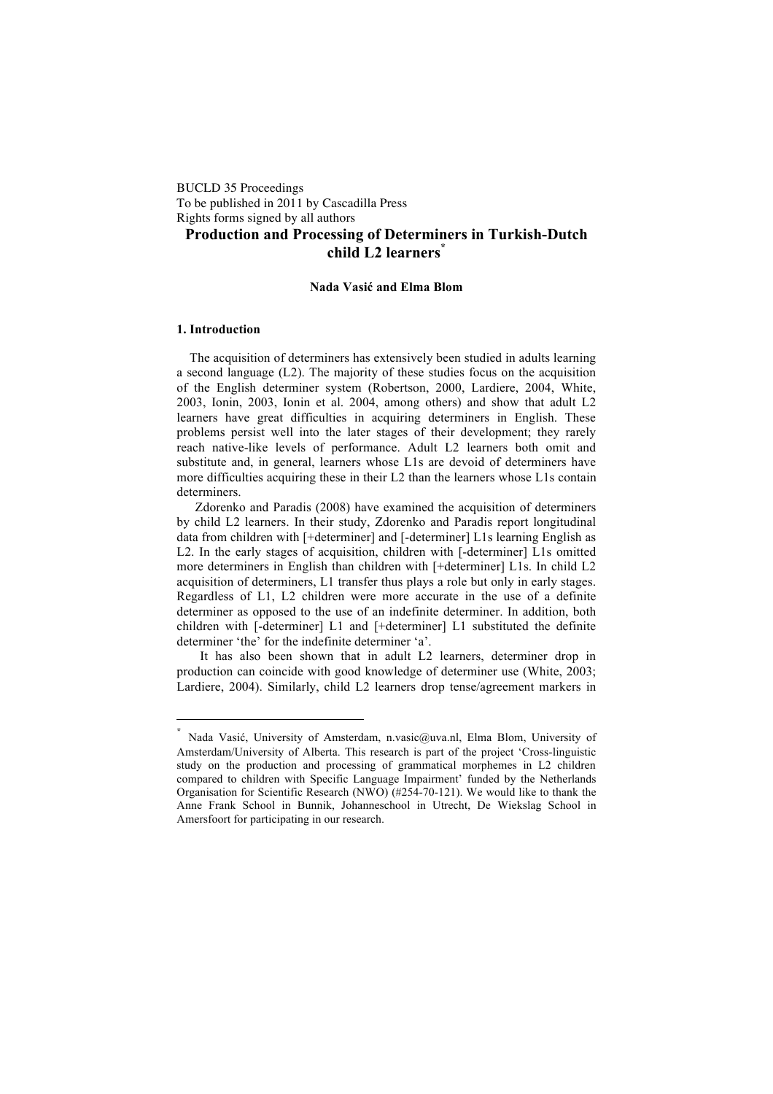BUCLD 35 Proceedings To be published in 2011 by Cascadilla Press Rights forms signed by all authors

# **Production and Processing of Determiners in Turkish-Dutch child L2 learners\***

## **Nada Vasi! and Elma Blom**

#### **1. Introduction**

 $\overline{a}$ 

The acquisition of determiners has extensively been studied in adults learning a second language (L2). The majority of these studies focus on the acquisition of the English determiner system (Robertson, 2000, Lardiere, 2004, White, 2003, Ionin, 2003, Ionin et al. 2004, among others) and show that adult L2 learners have great difficulties in acquiring determiners in English. These problems persist well into the later stages of their development; they rarely reach native-like levels of performance. Adult L2 learners both omit and substitute and, in general, learners whose L1s are devoid of determiners have more difficulties acquiring these in their L2 than the learners whose L1s contain determiners.

Zdorenko and Paradis (2008) have examined the acquisition of determiners by child L2 learners. In their study, Zdorenko and Paradis report longitudinal data from children with [+determiner] and [-determiner] L1s learning English as L2. In the early stages of acquisition, children with [-determiner] L1s omitted more determiners in English than children with [+determiner] L1s. In child L2 acquisition of determiners, L1 transfer thus plays a role but only in early stages. Regardless of L1, L2 children were more accurate in the use of a definite determiner as opposed to the use of an indefinite determiner. In addition, both children with [-determiner] L1 and [+determiner] L1 substituted the definite determiner 'the' for the indefinite determiner 'a'.

It has also been shown that in adult L2 learners, determiner drop in production can coincide with good knowledge of determiner use (White, 2003; Lardiere, 2004). Similarly, child L2 learners drop tense/agreement markers in

Nada Vasić, University of Amsterdam, n.vasic@uva.nl, Elma Blom, University of Amsterdam/University of Alberta. This research is part of the project 'Cross-linguistic study on the production and processing of grammatical morphemes in L2 children compared to children with Specific Language Impairment' funded by the Netherlands Organisation for Scientific Research (NWO) (#254-70-121). We would like to thank the Anne Frank School in Bunnik, Johanneschool in Utrecht, De Wiekslag School in Amersfoort for participating in our research.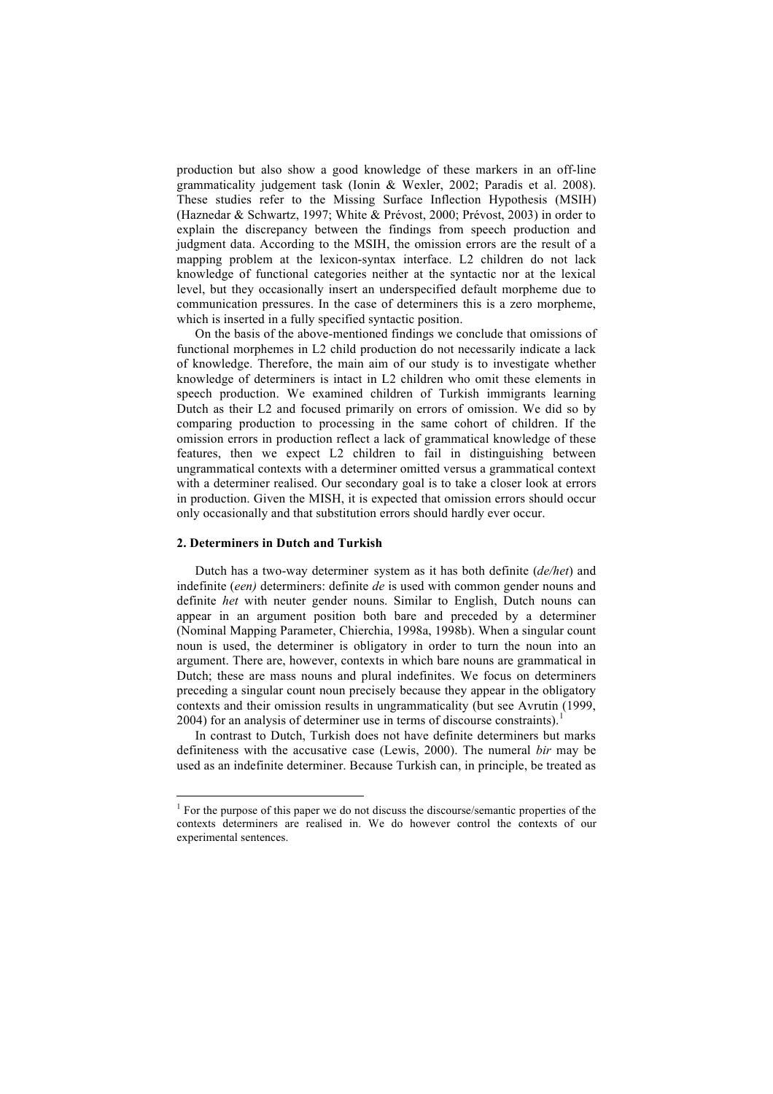production but also show a good knowledge of these markers in an off-line grammaticality judgement task (Ionin & Wexler, 2002; Paradis et al. 2008). These studies refer to the Missing Surface Inflection Hypothesis (MSIH) (Haznedar & Schwartz, 1997; White & Prévost, 2000; Prévost, 2003) in order to explain the discrepancy between the findings from speech production and judgment data. According to the MSIH, the omission errors are the result of a mapping problem at the lexicon-syntax interface. L2 children do not lack knowledge of functional categories neither at the syntactic nor at the lexical level, but they occasionally insert an underspecified default morpheme due to communication pressures. In the case of determiners this is a zero morpheme, which is inserted in a fully specified syntactic position.

On the basis of the above-mentioned findings we conclude that omissions of functional morphemes in L2 child production do not necessarily indicate a lack of knowledge. Therefore, the main aim of our study is to investigate whether knowledge of determiners is intact in L2 children who omit these elements in speech production. We examined children of Turkish immigrants learning Dutch as their L2 and focused primarily on errors of omission. We did so by comparing production to processing in the same cohort of children. If the omission errors in production reflect a lack of grammatical knowledge of these features, then we expect L2 children to fail in distinguishing between ungrammatical contexts with a determiner omitted versus a grammatical context with a determiner realised. Our secondary goal is to take a closer look at errors in production. Given the MISH, it is expected that omission errors should occur only occasionally and that substitution errors should hardly ever occur.

#### **2. Determiners in Dutch and Turkish**

Dutch has a two-way determiner system as it has both definite (*de/het*) and indefinite (*een)* determiners: definite *de* is used with common gender nouns and definite *het* with neuter gender nouns. Similar to English, Dutch nouns can appear in an argument position both bare and preceded by a determiner (Nominal Mapping Parameter, Chierchia, 1998a, 1998b). When a singular count noun is used, the determiner is obligatory in order to turn the noun into an argument. There are, however, contexts in which bare nouns are grammatical in Dutch; these are mass nouns and plural indefinites. We focus on determiners preceding a singular count noun precisely because they appear in the obligatory contexts and their omission results in ungrammaticality (but see Avrutin (1999, 2004) for an analysis of determiner use in terms of discourse constraints).

In contrast to Dutch, Turkish does not have definite determiners but marks definiteness with the accusative case (Lewis, 2000). The numeral *bir* may be used as an indefinite determiner. Because Turkish can, in principle, be treated as

 $\frac{1}{1}$  $<sup>1</sup>$  For the purpose of this paper we do not discuss the discourse/semantic properties of the</sup> contexts determiners are realised in. We do however control the contexts of our experimental sentences.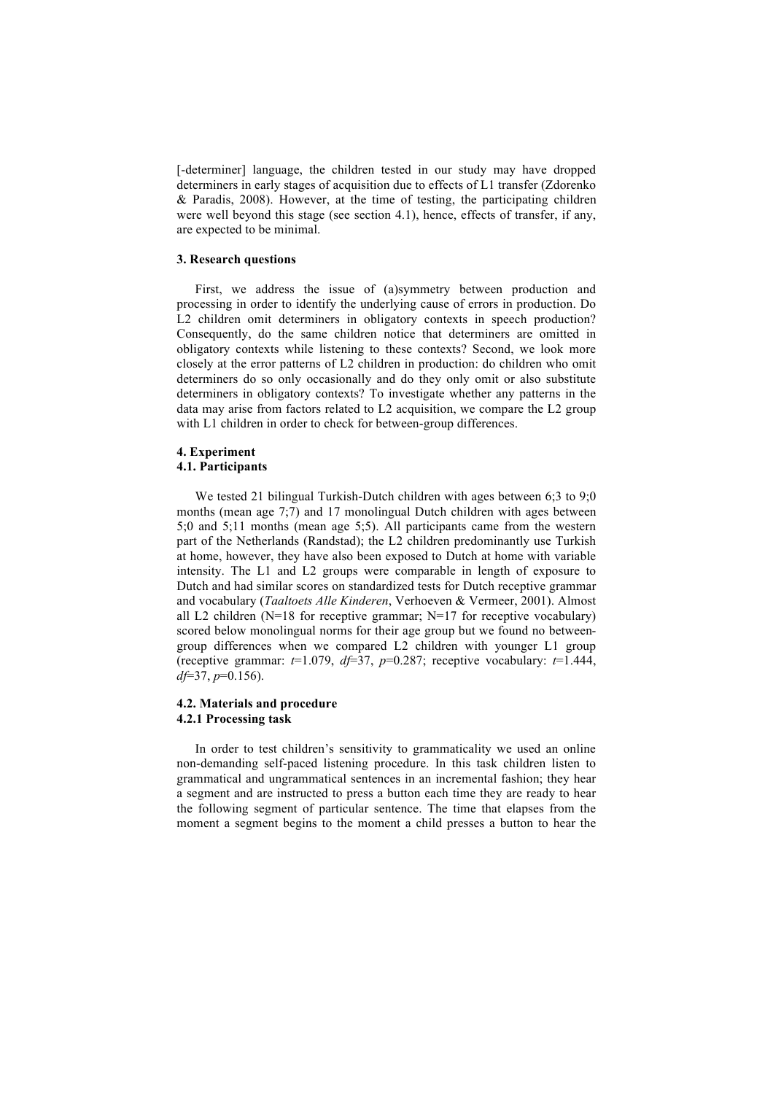[-determiner] language, the children tested in our study may have dropped determiners in early stages of acquisition due to effects of L1 transfer (Zdorenko & Paradis, 2008). However, at the time of testing, the participating children were well beyond this stage (see section 4.1), hence, effects of transfer, if any, are expected to be minimal.

### **3. Research questions**

First, we address the issue of (a)symmetry between production and processing in order to identify the underlying cause of errors in production. Do L2 children omit determiners in obligatory contexts in speech production? Consequently, do the same children notice that determiners are omitted in obligatory contexts while listening to these contexts? Second, we look more closely at the error patterns of L2 children in production: do children who omit determiners do so only occasionally and do they only omit or also substitute determiners in obligatory contexts? To investigate whether any patterns in the data may arise from factors related to L2 acquisition, we compare the L2 group with L1 children in order to check for between-group differences.

#### **4. Experiment 4.1. Participants**

We tested 21 bilingual Turkish-Dutch children with ages between 6:3 to 9:0 months (mean age 7;7) and 17 monolingual Dutch children with ages between 5;0 and 5;11 months (mean age 5;5). All participants came from the western part of the Netherlands (Randstad); the L2 children predominantly use Turkish at home, however, they have also been exposed to Dutch at home with variable intensity. The L1 and L2 groups were comparable in length of exposure to Dutch and had similar scores on standardized tests for Dutch receptive grammar and vocabulary (*Taaltoets Alle Kinderen*, Verhoeven & Vermeer, 2001). Almost all L2 children ( $N=18$  for receptive grammar;  $N=17$  for receptive vocabulary) scored below monolingual norms for their age group but we found no betweengroup differences when we compared L2 children with younger L1 group (receptive grammar:  $t=1.079$ ,  $df=37$ ,  $p=0.287$ ; receptive vocabulary:  $t=1.444$ , *df*=37, *p*=0.156).

## **4.2. Materials and procedure 4.2.1 Processing task**

In order to test children's sensitivity to grammaticality we used an online non-demanding self-paced listening procedure. In this task children listen to grammatical and ungrammatical sentences in an incremental fashion; they hear a segment and are instructed to press a button each time they are ready to hear the following segment of particular sentence. The time that elapses from the moment a segment begins to the moment a child presses a button to hear the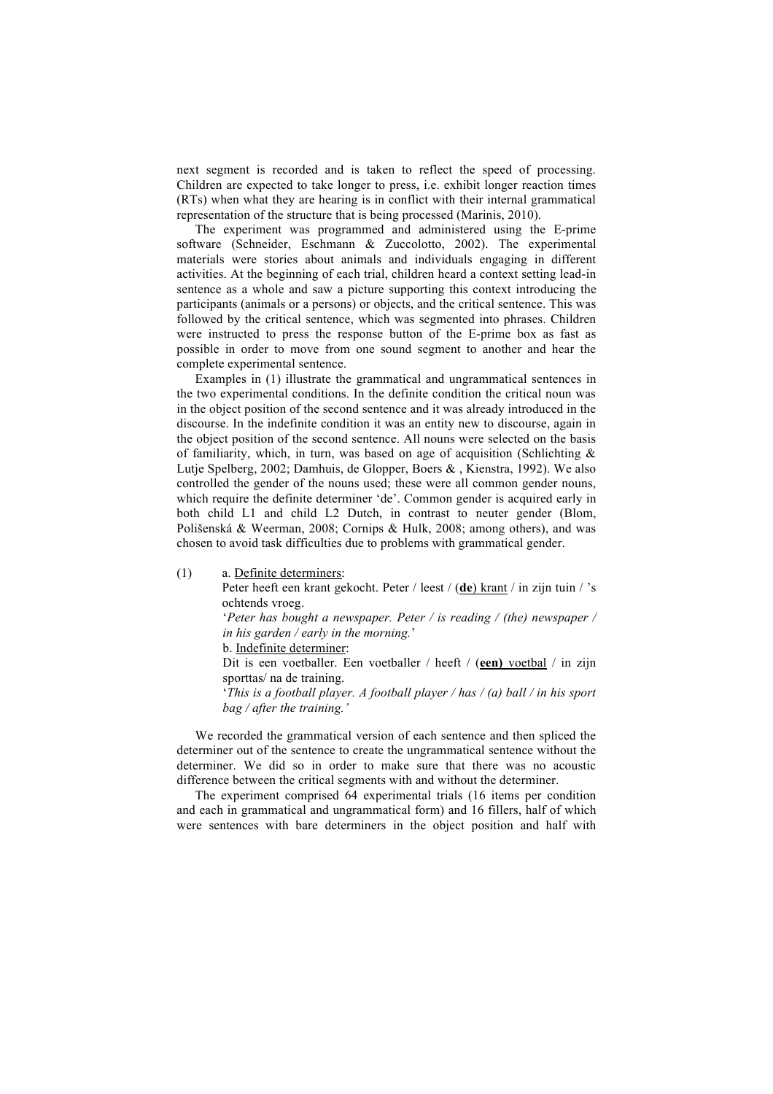next segment is recorded and is taken to reflect the speed of processing. Children are expected to take longer to press, i.e. exhibit longer reaction times (RTs) when what they are hearing is in conflict with their internal grammatical representation of the structure that is being processed (Marinis, 2010).

The experiment was programmed and administered using the E-prime software (Schneider, Eschmann & Zuccolotto, 2002). The experimental materials were stories about animals and individuals engaging in different activities. At the beginning of each trial, children heard a context setting lead-in sentence as a whole and saw a picture supporting this context introducing the participants (animals or a persons) or objects, and the critical sentence. This was followed by the critical sentence, which was segmented into phrases. Children were instructed to press the response button of the E-prime box as fast as possible in order to move from one sound segment to another and hear the complete experimental sentence.

Examples in (1) illustrate the grammatical and ungrammatical sentences in the two experimental conditions. In the definite condition the critical noun was in the object position of the second sentence and it was already introduced in the discourse. In the indefinite condition it was an entity new to discourse, again in the object position of the second sentence. All nouns were selected on the basis of familiarity, which, in turn, was based on age of acquisition (Schlichting  $\&$ Lutje Spelberg, 2002; Damhuis, de Glopper, Boers & , Kienstra, 1992). We also controlled the gender of the nouns used; these were all common gender nouns, which require the definite determiner 'de'. Common gender is acquired early in both child L1 and child L2 Dutch, in contrast to neuter gender (Blom, Polišenská & Weerman, 2008; Cornips & Hulk, 2008; among others), and was chosen to avoid task difficulties due to problems with grammatical gender.

(1) a. Definite determiners:

Peter heeft een krant gekocht. Peter / leest / (**de**) krant / in zijn tuin / 's ochtends vroeg.

'*Peter has bought a newspaper. Peter / is reading / (the) newspaper / in his garden / early in the morning.*'

b. Indefinite determiner:

Dit is een voetballer. Een voetballer / heeft / (**een)** voetbal / in zijn sporttas/ na de training.

'*This is a football player. A football player / has / (a) ball / in his sport bag / after the training.'*

We recorded the grammatical version of each sentence and then spliced the determiner out of the sentence to create the ungrammatical sentence without the determiner. We did so in order to make sure that there was no acoustic difference between the critical segments with and without the determiner.

The experiment comprised 64 experimental trials (16 items per condition and each in grammatical and ungrammatical form) and 16 fillers, half of which were sentences with bare determiners in the object position and half with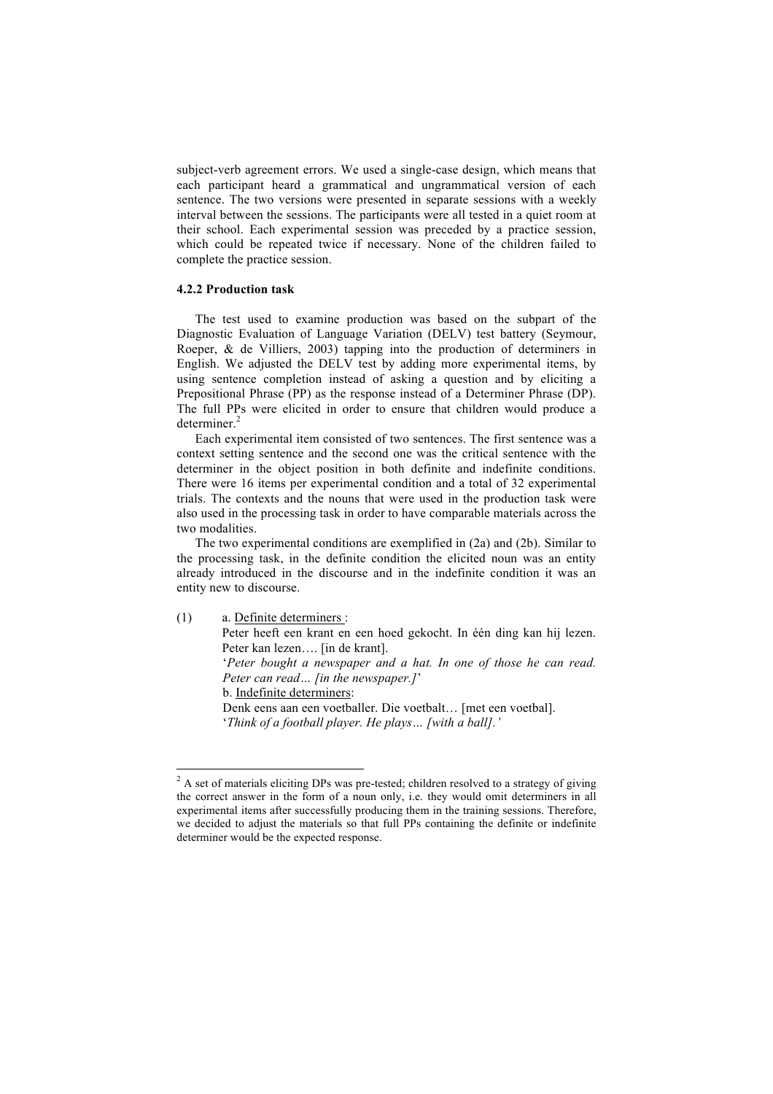subject-verb agreement errors. We used a single-case design, which means that each participant heard a grammatical and ungrammatical version of each sentence. The two versions were presented in separate sessions with a weekly interval between the sessions. The participants were all tested in a quiet room at their school. Each experimental session was preceded by a practice session, which could be repeated twice if necessary. None of the children failed to complete the practice session.

#### **4.2.2 Production task**

The test used to examine production was based on the subpart of the Diagnostic Evaluation of Language Variation (DELV) test battery (Seymour, Roeper, & de Villiers, 2003) tapping into the production of determiners in English. We adjusted the DELV test by adding more experimental items, by using sentence completion instead of asking a question and by eliciting a Prepositional Phrase (PP) as the response instead of a Determiner Phrase (DP). The full PPs were elicited in order to ensure that children would produce a determiner.<sup>2</sup>

Each experimental item consisted of two sentences. The first sentence was a context setting sentence and the second one was the critical sentence with the determiner in the object position in both definite and indefinite conditions. There were 16 items per experimental condition and a total of 32 experimental trials. The contexts and the nouns that were used in the production task were also used in the processing task in order to have comparable materials across the two modalities.

The two experimental conditions are exemplified in (2a) and (2b). Similar to the processing task, in the definite condition the elicited noun was an entity already introduced in the discourse and in the indefinite condition it was an entity new to discourse.

(1) a. Definite determiners :

Peter heeft een krant en een hoed gekocht. In één ding kan hij lezen. Peter kan lezen…. [in de krant].

'*Peter bought a newspaper and a hat. In one of those he can read. Peter can read… [in the newspaper.]*'

b. Indefinite determiners:

Denk eens aan een voetballer. Die voetbalt… [met een voetbal]. '*Think of a football player. He plays… [with a ball].'*

 $\frac{1}{2}$ <sup>2</sup> A set of materials eliciting DPs was pre-tested; children resolved to a strategy of giving the correct answer in the form of a noun only, i.e. they would omit determiners in all experimental items after successfully producing them in the training sessions. Therefore, we decided to adjust the materials so that full PPs containing the definite or indefinite determiner would be the expected response.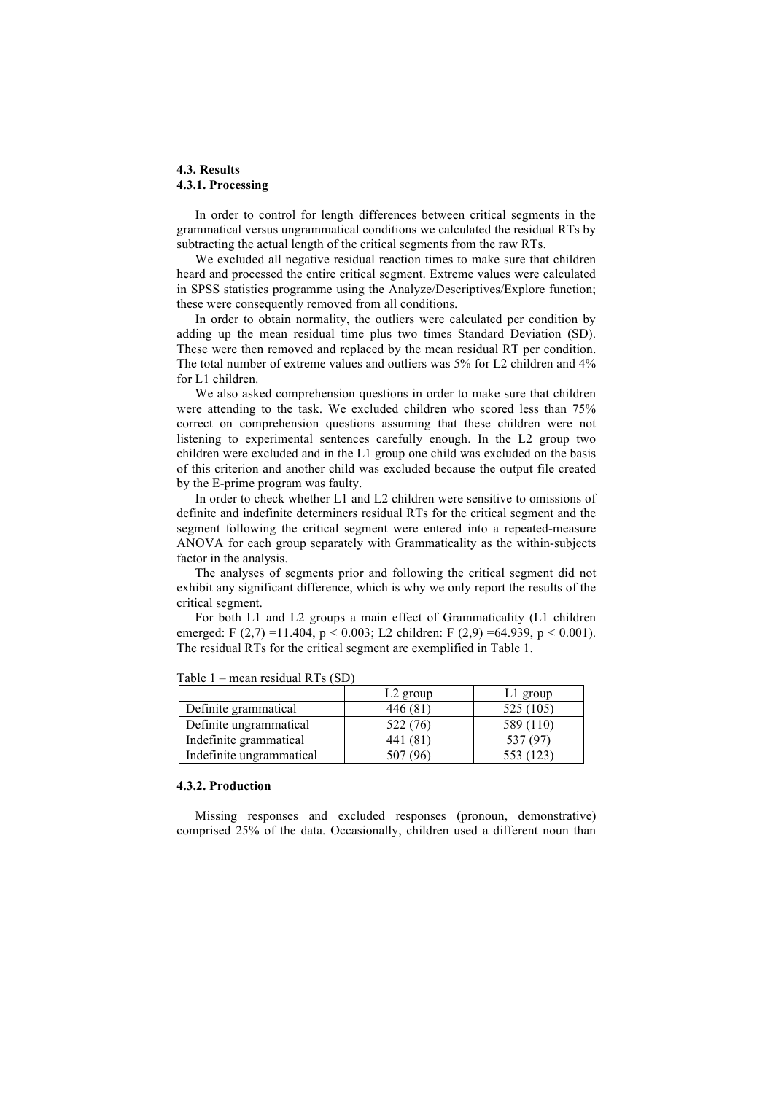## **4.3. Results 4.3.1. Processing**

In order to control for length differences between critical segments in the grammatical versus ungrammatical conditions we calculated the residual RTs by subtracting the actual length of the critical segments from the raw RTs.

We excluded all negative residual reaction times to make sure that children heard and processed the entire critical segment. Extreme values were calculated in SPSS statistics programme using the Analyze/Descriptives/Explore function; these were consequently removed from all conditions.

In order to obtain normality, the outliers were calculated per condition by adding up the mean residual time plus two times Standard Deviation (SD). These were then removed and replaced by the mean residual RT per condition. The total number of extreme values and outliers was 5% for L2 children and 4% for L1 children.

We also asked comprehension questions in order to make sure that children were attending to the task. We excluded children who scored less than 75% correct on comprehension questions assuming that these children were not listening to experimental sentences carefully enough. In the L2 group two children were excluded and in the L1 group one child was excluded on the basis of this criterion and another child was excluded because the output file created by the E-prime program was faulty.

In order to check whether L1 and L2 children were sensitive to omissions of definite and indefinite determiners residual RTs for the critical segment and the segment following the critical segment were entered into a repeated-measure ANOVA for each group separately with Grammaticality as the within-subjects factor in the analysis.

The analyses of segments prior and following the critical segment did not exhibit any significant difference, which is why we only report the results of the critical segment.

For both L1 and L2 groups a main effect of Grammaticality (L1 children emerged: F  $(2,7)$  =11.404, p < 0.003; L2 children: F  $(2,9)$  =64.939, p < 0.001). The residual RTs for the critical segment are exemplified in Table 1.

|                          | $L2$ group | L <sub>l</sub> group |
|--------------------------|------------|----------------------|
| Definite grammatical     | 446 (81)   | 525 (105)            |
| Definite ungrammatical   | 522 (76)   | 589 (110)            |
| Indefinite grammatical   | 441 (81)   |                      |
| Indefinite ungrammatical | 507 (96)   | 553 (123)            |

Table 1 – mean residual RTs (SD)

#### **4.3.2. Production**

Missing responses and excluded responses (pronoun, demonstrative) comprised 25% of the data. Occasionally, children used a different noun than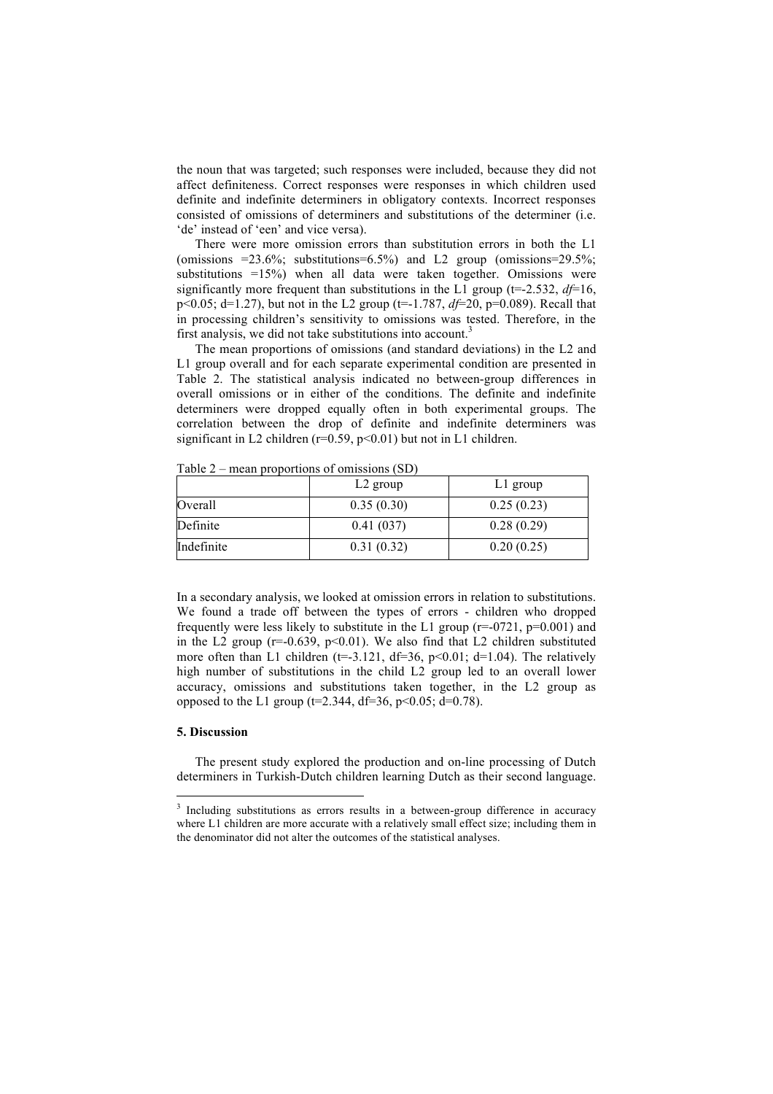the noun that was targeted; such responses were included, because they did not affect definiteness. Correct responses were responses in which children used definite and indefinite determiners in obligatory contexts. Incorrect responses consisted of omissions of determiners and substitutions of the determiner (i.e. 'de' instead of 'een' and vice versa).

There were more omission errors than substitution errors in both the L1 (omissions  $=23.6\%$ ; substitutions=6.5%) and L2 group (omissions=29.5%; substitutions  $=15\%$ ) when all data were taken together. Omissions were significantly more frequent than substitutions in the L1 group ( $t=2.532$ ,  $df=16$ , p<0.05; d=1.27), but not in the L2 group (t=-1.787, *df*=20, p=0.089). Recall that in processing children's sensitivity to omissions was tested. Therefore, in the first analysis, we did not take substitutions into account.<sup>3</sup>

The mean proportions of omissions (and standard deviations) in the L2 and L1 group overall and for each separate experimental condition are presented in Table 2. The statistical analysis indicated no between-group differences in overall omissions or in either of the conditions. The definite and indefinite determiners were dropped equally often in both experimental groups. The correlation between the drop of definite and indefinite determiners was significant in L2 children ( $r=0.59$ ,  $p<0.01$ ) but not in L1 children.

Table 2 – mean proportions of omissions (SD)

|            | L <sub>2</sub> group | $L1$ group |
|------------|----------------------|------------|
| Overall    | 0.35(0.30)           | 0.25(0.23) |
| Definite   | 0.41(037)            | 0.28(0.29) |
| Indefinite | 0.31(0.32)           | 0.20(0.25) |

In a secondary analysis, we looked at omission errors in relation to substitutions. We found a trade off between the types of errors - children who dropped frequently were less likely to substitute in the L1 group ( $r=0.021$ ,  $p=0.001$ ) and in the L2 group ( $r=0.639$ ,  $p<0.01$ ). We also find that L2 children substituted more often than L1 children (t=-3.121, df=36, p<0.01; d=1.04). The relatively high number of substitutions in the child L2 group led to an overall lower accuracy, omissions and substitutions taken together, in the L2 group as opposed to the L1 group ( $t=2.344$ , d $t=36$ ,  $p<0.05$ ; d $=0.78$ ).

## **5. Discussion**

The present study explored the production and on-line processing of Dutch determiners in Turkish-Dutch children learning Dutch as their second language.

 <sup>3</sup> <sup>3</sup> Including substitutions as errors results in a between-group difference in accuracy where L1 children are more accurate with a relatively small effect size; including them in the denominator did not alter the outcomes of the statistical analyses.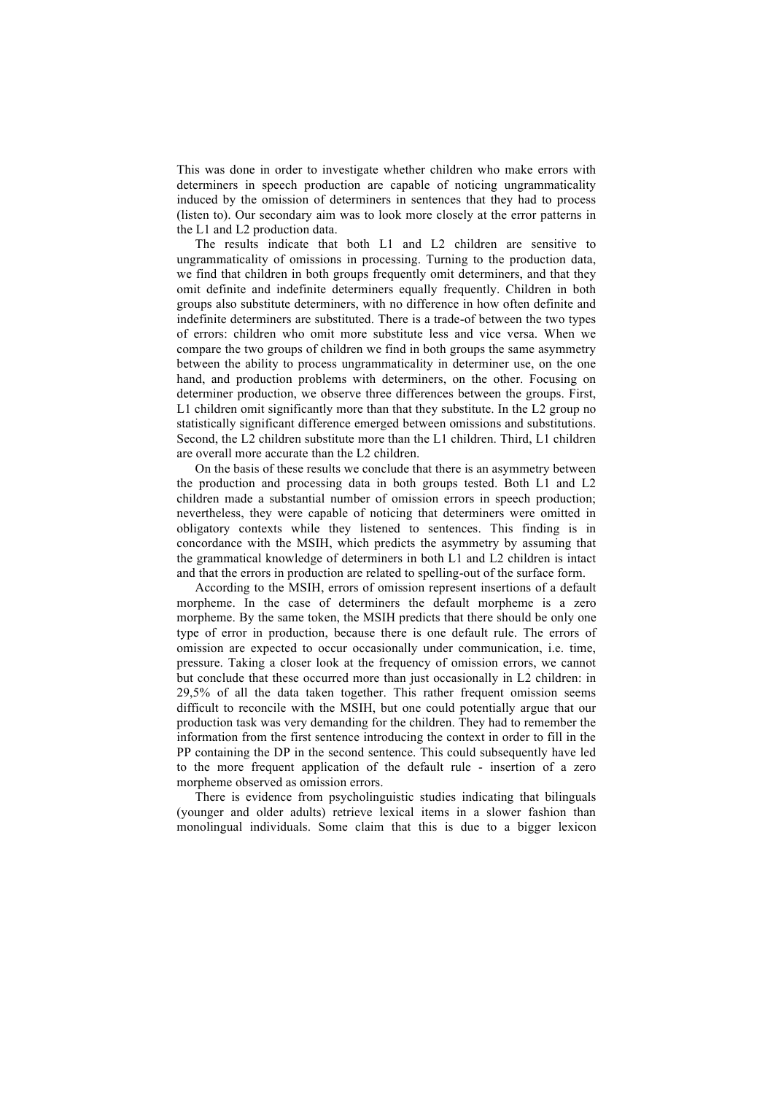This was done in order to investigate whether children who make errors with determiners in speech production are capable of noticing ungrammaticality induced by the omission of determiners in sentences that they had to process (listen to). Our secondary aim was to look more closely at the error patterns in the L1 and L2 production data.

The results indicate that both L1 and L2 children are sensitive to ungrammaticality of omissions in processing. Turning to the production data, we find that children in both groups frequently omit determiners, and that they omit definite and indefinite determiners equally frequently. Children in both groups also substitute determiners, with no difference in how often definite and indefinite determiners are substituted. There is a trade-of between the two types of errors: children who omit more substitute less and vice versa. When we compare the two groups of children we find in both groups the same asymmetry between the ability to process ungrammaticality in determiner use, on the one hand, and production problems with determiners, on the other. Focusing on determiner production, we observe three differences between the groups. First, L1 children omit significantly more than that they substitute. In the L2 group no statistically significant difference emerged between omissions and substitutions. Second, the L2 children substitute more than the L1 children. Third, L1 children are overall more accurate than the L2 children.

On the basis of these results we conclude that there is an asymmetry between the production and processing data in both groups tested. Both L1 and L2 children made a substantial number of omission errors in speech production; nevertheless, they were capable of noticing that determiners were omitted in obligatory contexts while they listened to sentences. This finding is in concordance with the MSIH, which predicts the asymmetry by assuming that the grammatical knowledge of determiners in both L1 and L2 children is intact and that the errors in production are related to spelling-out of the surface form.

According to the MSIH, errors of omission represent insertions of a default morpheme. In the case of determiners the default morpheme is a zero morpheme. By the same token, the MSIH predicts that there should be only one type of error in production, because there is one default rule. The errors of omission are expected to occur occasionally under communication, i.e. time, pressure. Taking a closer look at the frequency of omission errors, we cannot but conclude that these occurred more than just occasionally in L2 children: in 29,5% of all the data taken together. This rather frequent omission seems difficult to reconcile with the MSIH, but one could potentially argue that our production task was very demanding for the children. They had to remember the information from the first sentence introducing the context in order to fill in the PP containing the DP in the second sentence. This could subsequently have led to the more frequent application of the default rule - insertion of a zero morpheme observed as omission errors.

There is evidence from psycholinguistic studies indicating that bilinguals (younger and older adults) retrieve lexical items in a slower fashion than monolingual individuals. Some claim that this is due to a bigger lexicon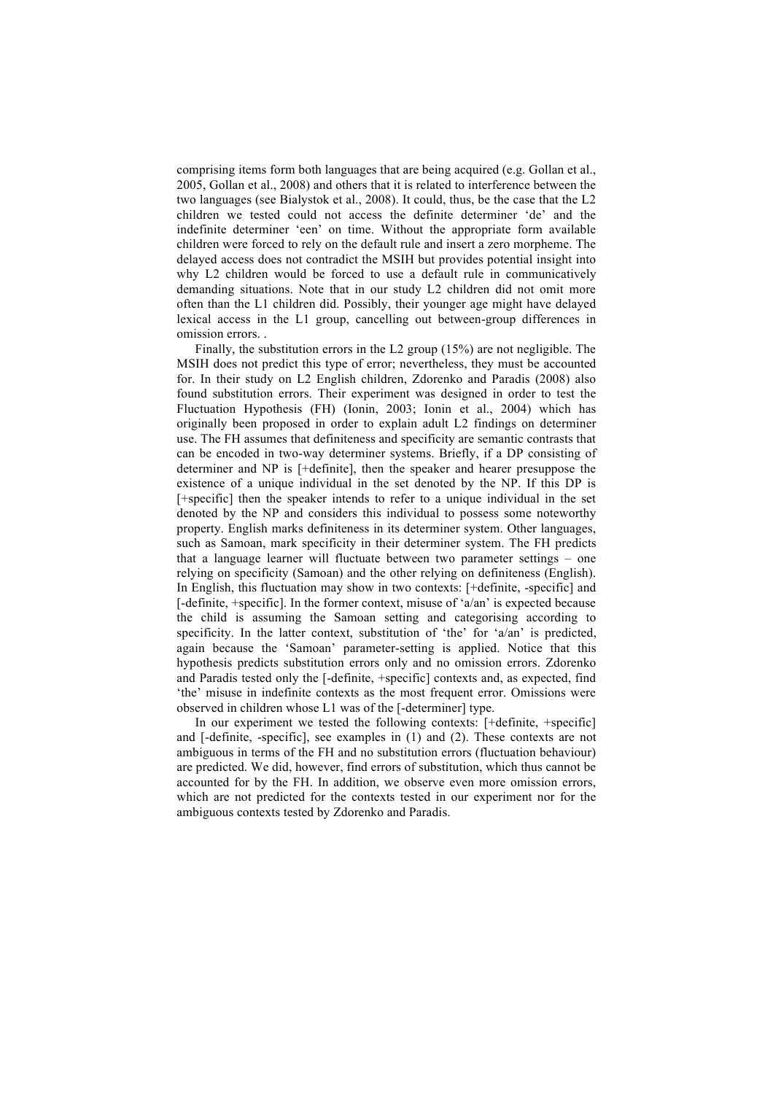comprising items form both languages that are being acquired (e.g. Gollan et al., 2005, Gollan et al., 2008) and others that it is related to interference between the two languages (see Bialystok et al., 2008). It could, thus, be the case that the L2 children we tested could not access the definite determiner 'de' and the indefinite determiner 'een' on time. Without the appropriate form available children were forced to rely on the default rule and insert a zero morpheme. The delayed access does not contradict the MSIH but provides potential insight into why L2 children would be forced to use a default rule in communicatively demanding situations. Note that in our study L2 children did not omit more often than the L1 children did. Possibly, their younger age might have delayed lexical access in the L1 group, cancelling out between-group differences in omission errors. .

Finally, the substitution errors in the L2 group (15%) are not negligible. The MSIH does not predict this type of error; nevertheless, they must be accounted for. In their study on L2 English children, Zdorenko and Paradis (2008) also found substitution errors. Their experiment was designed in order to test the Fluctuation Hypothesis (FH) (Ionin, 2003; Ionin et al., 2004) which has originally been proposed in order to explain adult L2 findings on determiner use. The FH assumes that definiteness and specificity are semantic contrasts that can be encoded in two-way determiner systems. Briefly, if a DP consisting of determiner and NP is [+definite], then the speaker and hearer presuppose the existence of a unique individual in the set denoted by the NP. If this DP is [+specific] then the speaker intends to refer to a unique individual in the set denoted by the NP and considers this individual to possess some noteworthy property. English marks definiteness in its determiner system. Other languages, such as Samoan, mark specificity in their determiner system. The FH predicts that a language learner will fluctuate between two parameter settings – one relying on specificity (Samoan) and the other relying on definiteness (English). In English, this fluctuation may show in two contexts: [+definite, -specific] and [-definite, +specific]. In the former context, misuse of 'a/an' is expected because the child is assuming the Samoan setting and categorising according to specificity. In the latter context, substitution of 'the' for 'a/an' is predicted, again because the 'Samoan' parameter-setting is applied. Notice that this hypothesis predicts substitution errors only and no omission errors. Zdorenko and Paradis tested only the [-definite, +specific] contexts and, as expected, find 'the' misuse in indefinite contexts as the most frequent error. Omissions were observed in children whose L1 was of the [-determiner] type.

In our experiment we tested the following contexts: [+definite, +specific] and [-definite, -specific], see examples in (1) and (2). These contexts are not ambiguous in terms of the FH and no substitution errors (fluctuation behaviour) are predicted. We did, however, find errors of substitution, which thus cannot be accounted for by the FH. In addition, we observe even more omission errors, which are not predicted for the contexts tested in our experiment nor for the ambiguous contexts tested by Zdorenko and Paradis.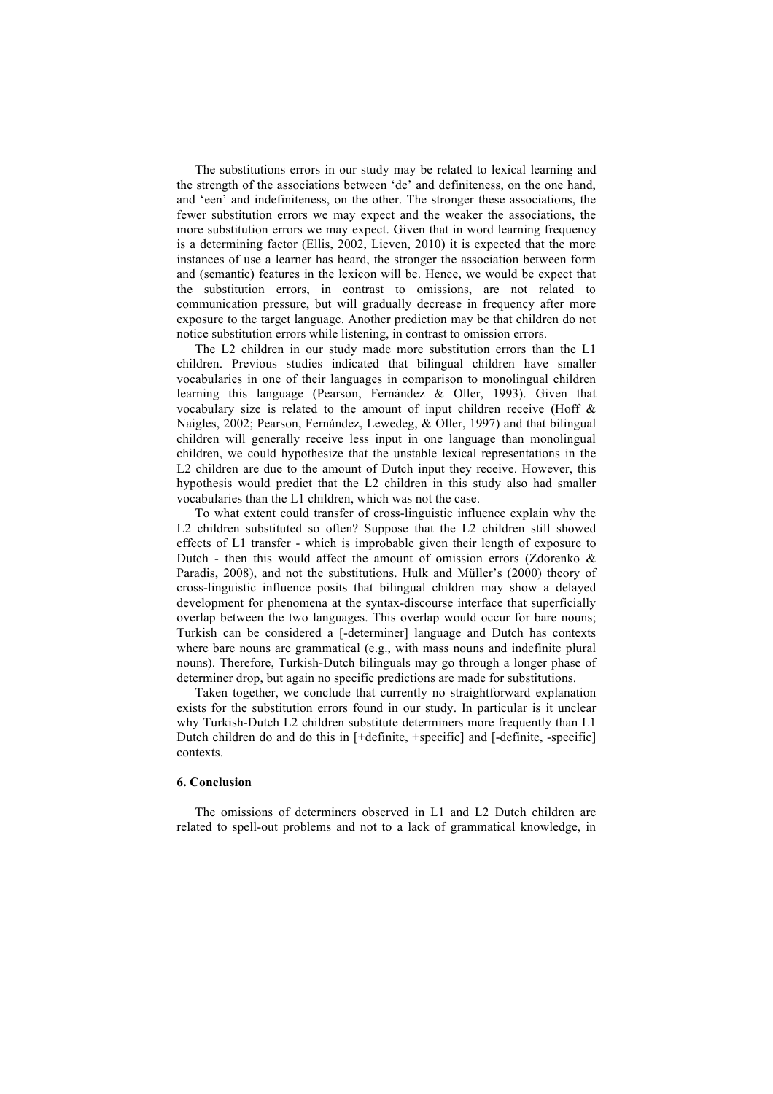The substitutions errors in our study may be related to lexical learning and the strength of the associations between 'de' and definiteness, on the one hand, and 'een' and indefiniteness, on the other. The stronger these associations, the fewer substitution errors we may expect and the weaker the associations, the more substitution errors we may expect. Given that in word learning frequency is a determining factor (Ellis, 2002, Lieven, 2010) it is expected that the more instances of use a learner has heard, the stronger the association between form and (semantic) features in the lexicon will be. Hence, we would be expect that the substitution errors, in contrast to omissions, are not related to communication pressure, but will gradually decrease in frequency after more exposure to the target language. Another prediction may be that children do not notice substitution errors while listening, in contrast to omission errors.

The L2 children in our study made more substitution errors than the L1 children. Previous studies indicated that bilingual children have smaller vocabularies in one of their languages in comparison to monolingual children learning this language (Pearson, Fernández & Oller, 1993). Given that vocabulary size is related to the amount of input children receive (Hoff & Naigles, 2002; Pearson, Fernández, Lewedeg, & Oller, 1997) and that bilingual children will generally receive less input in one language than monolingual children, we could hypothesize that the unstable lexical representations in the L2 children are due to the amount of Dutch input they receive. However, this hypothesis would predict that the L2 children in this study also had smaller vocabularies than the L1 children, which was not the case.

To what extent could transfer of cross-linguistic influence explain why the L2 children substituted so often? Suppose that the L2 children still showed effects of L1 transfer - which is improbable given their length of exposure to Dutch - then this would affect the amount of omission errors (Zdorenko  $\&$ Paradis, 2008), and not the substitutions. Hulk and Müller's (2000) theory of cross-linguistic influence posits that bilingual children may show a delayed development for phenomena at the syntax-discourse interface that superficially overlap between the two languages. This overlap would occur for bare nouns; Turkish can be considered a [-determiner] language and Dutch has contexts where bare nouns are grammatical (e.g., with mass nouns and indefinite plural nouns). Therefore, Turkish-Dutch bilinguals may go through a longer phase of determiner drop, but again no specific predictions are made for substitutions.

Taken together, we conclude that currently no straightforward explanation exists for the substitution errors found in our study. In particular is it unclear why Turkish-Dutch L2 children substitute determiners more frequently than L1 Dutch children do and do this in [+definite, +specific] and [-definite, -specific] contexts.

#### **6. Conclusion**

The omissions of determiners observed in L1 and L2 Dutch children are related to spell-out problems and not to a lack of grammatical knowledge, in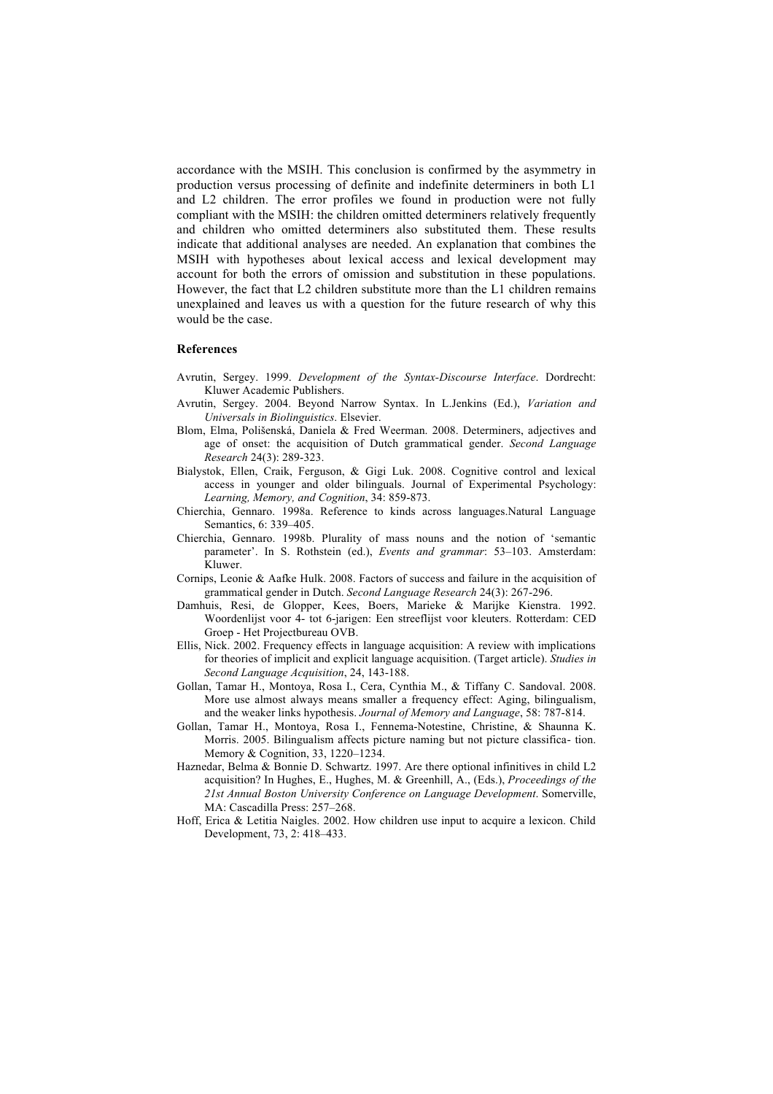accordance with the MSIH. This conclusion is confirmed by the asymmetry in production versus processing of definite and indefinite determiners in both L1 and L2 children. The error profiles we found in production were not fully compliant with the MSIH: the children omitted determiners relatively frequently and children who omitted determiners also substituted them. These results indicate that additional analyses are needed. An explanation that combines the MSIH with hypotheses about lexical access and lexical development may account for both the errors of omission and substitution in these populations. However, the fact that L2 children substitute more than the L1 children remains unexplained and leaves us with a question for the future research of why this would be the case.

#### **References**

- Avrutin, Sergey. 1999. *Development of the Syntax-Discourse Interface*. Dordrecht: Kluwer Academic Publishers.
- Avrutin, Sergey. 2004. Beyond Narrow Syntax. In L.Jenkins (Ed.), *Variation and Universals in Biolinguistics*. Elsevier.
- Blom, Elma, Polišenská, Daniela & Fred Weerman. 2008. Determiners, adjectives and age of onset: the acquisition of Dutch grammatical gender. *Second Language Research* 24(3): 289-323.
- Bialystok, Ellen, Craik, Ferguson, & Gigi Luk. 2008. Cognitive control and lexical access in younger and older bilinguals. Journal of Experimental Psychology: *Learning, Memory, and Cognition*, 34: 859-873.
- Chierchia, Gennaro. 1998a. Reference to kinds across languages.Natural Language Semantics, 6: 339–405.
- Chierchia, Gennaro. 1998b. Plurality of mass nouns and the notion of 'semantic parameter'. In S. Rothstein (ed.), *Events and grammar*: 53–103. Amsterdam: Kluwer.
- Cornips, Leonie & Aafke Hulk. 2008. Factors of success and failure in the acquisition of grammatical gender in Dutch. *Second Language Research* 24(3): 267-296.
- Damhuis, Resi, de Glopper, Kees, Boers, Marieke & Marijke Kienstra. 1992. Woordenlijst voor 4- tot 6-jarigen: Een streeflijst voor kleuters. Rotterdam: CED Groep - Het Projectbureau OVB.
- Ellis, Nick. 2002. Frequency effects in language acquisition: A review with implications for theories of implicit and explicit language acquisition. (Target article). *Studies in Second Language Acquisition*, 24, 143-188.
- Gollan, Tamar H., Montoya, Rosa I., Cera, Cynthia M., & Tiffany C. Sandoval. 2008. More use almost always means smaller a frequency effect: Aging, bilingualism, and the weaker links hypothesis. *Journal of Memory and Language*, 58: 787-814.
- Gollan, Tamar H., Montoya, Rosa I., Fennema-Notestine, Christine, & Shaunna K. Morris. 2005. Bilingualism affects picture naming but not picture classifica- tion. Memory & Cognition, 33, 1220–1234.
- Haznedar, Belma & Bonnie D. Schwartz. 1997. Are there optional infinitives in child L2 acquisition? In Hughes, E., Hughes, M. & Greenhill, A., (Eds.), *Proceedings of the 21st Annual Boston University Conference on Language Development*. Somerville, MA: Cascadilla Press: 257–268.
- Hoff, Erica & Letitia Naigles. 2002. How children use input to acquire a lexicon. Child Development, 73, 2: 418–433.